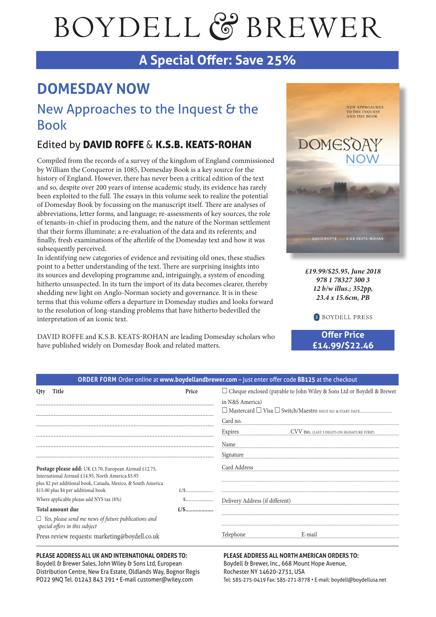# BOYDELL & BREWER

## **A Special Offer: Save 25%**

# **DOMESDAY NOW**

## New Approaches to the Inquest & the Book

### Edited by DAVID ROFFE & K.S.B. KEATS-ROHAN

Compiled from the records of a survey of the kingdom of England commissioned by William the Conqueror in 1085, Domesday Book is a key source for the history of England. However, there has never been a critical edition of the text and so, despite over 200 years of intense academic study, its evidence has rarely been exploited to the full. The essays in this volume seek to realize the potential of Domesday Book by focussing on the manuscript itself. There are analyses of abbreviations, letter forms, and language; re-assessments of key sources, the role of tenants-in-chief in producing them, and the nature of the Norman settlement that their forms illuminate; a re-evaluation of the data and its referents; and finally, fresh examinations of the afterlife of the Domesday text and how it was subsequently perceived.

In identifying new categories of evidence and revisiting old ones, these studies point to a better understanding of the text. There are surprising insights into its sources and developing programme and, intriguingly, a system of encoding hitherto unsuspected. In its turn the import of its data becomes clearer, thereby shedding new light on Anglo-Norman society and governance. It is in these terms that this volume offers a departure in Domesday studies and looks forward to the resolution of long-standing problems that have hitherto bedevilled the interpretation of an iconic text.

DAVID ROFFE and K.S.B. KEATS-ROHAN are leading Domesday scholars who have published widely on Domesday Book and related matters.



*£19.99/\$25.95, June 2018 978 1 78327 300 3 12 b/w illus.; 352pp, 23.4 x 15.6cm, PB*

**B** BOYDELL PRESS

**Offer Price £14.99/\$22.46**

| <b>ORDER FORM</b> Order online at www.boydellandbrewer.com – just enter offer code BB125 at the checkout |                                                                         |
|----------------------------------------------------------------------------------------------------------|-------------------------------------------------------------------------|
| Price                                                                                                    | □ Cheque enclosed (payable to John Wiley & Sons Ltd or Boydell & Brewer |
|                                                                                                          | in N&S America)                                                         |
|                                                                                                          | Card no.                                                                |
|                                                                                                          | Expires<br>CVV no. (LAST 3 DIGITS ON SIGNATURE STRIP)                   |
|                                                                                                          | Name                                                                    |
|                                                                                                          | Signature                                                               |
|                                                                                                          | Card Address                                                            |
|                                                                                                          |                                                                         |
|                                                                                                          | Delivery Address (if different)                                         |
| $\pounds/\pounds$                                                                                        |                                                                         |
|                                                                                                          |                                                                         |
|                                                                                                          | Telephone<br>E-mai                                                      |
|                                                                                                          |                                                                         |

#### **PLEASE ADDRESS ALL UK AND INTERNATIONAL ORDERS TO:**

Boydell & Brewer Sales, John Wiley & Sons Ltd, European Distribution Centre, New Era Estate, Oldlands Way, Bognor Regis PO22 9NQ Tel. 01243 843 291 • E-mail customer@wiley.com

#### **PLEASE ADDRESS ALL NORTH AMERICAN ORDERS TO:** Boydell & Brewer, Inc., 668 Mount Hope Avenue, Rochester NY 14620-2731, USA Tel: 585-275-0419 Fax: 585-271-8778 • E-mail: boydell@boydellusa.net